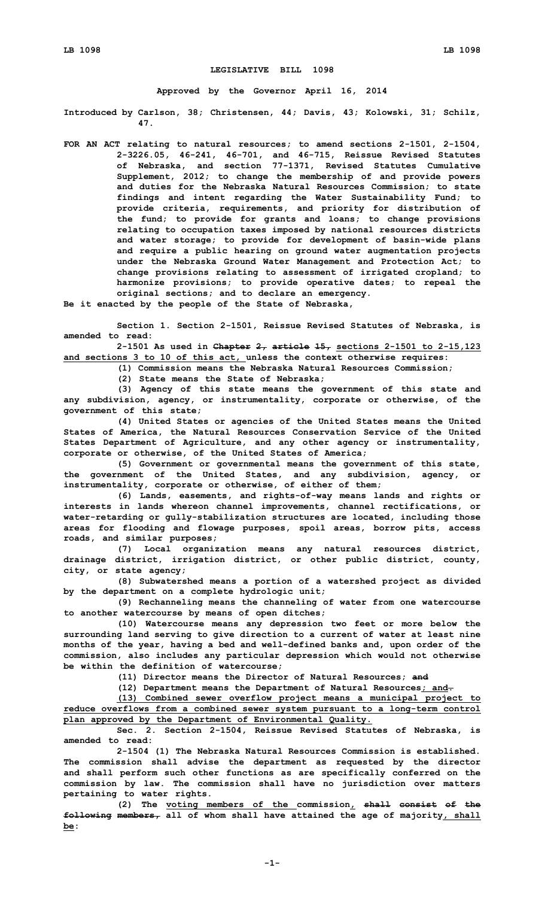## **LEGISLATIVE BILL 1098**

**Approved by the Governor April 16, 2014**

**Introduced by Carlson, 38; Christensen, 44; Davis, 43; Kolowski, 31; Schilz, 47.**

**FOR AN ACT relating to natural resources; to amend sections 2-1501, 2-1504, 2-3226.05, 46-241, 46-701, and 46-715, Reissue Revised Statutes of Nebraska, and section 77-1371, Revised Statutes Cumulative Supplement, 2012; to change the membership of and provide powers and duties for the Nebraska Natural Resources Commission; to state findings and intent regarding the Water Sustainability Fund; to provide criteria, requirements, and priority for distribution of the fund; to provide for grants and loans; to change provisions relating to occupation taxes imposed by national resources districts and water storage; to provide for development of basin-wide plans and require <sup>a</sup> public hearing on ground water augmentation projects under the Nebraska Ground Water Management and Protection Act; to change provisions relating to assessment of irrigated cropland; to harmonize provisions; to provide operative dates; to repeal the original sections; and to declare an emergency.**

**Be it enacted by the people of the State of Nebraska,**

**Section 1. Section 2-1501, Reissue Revised Statutes of Nebraska, is amended to read:**

**2-1501 As used in Chapter 2, article 15, sections 2-1501 to 2-15,123 and sections 3 to 10 of this act, unless the context otherwise requires:**

**(1) Commission means the Nebraska Natural Resources Commission;**

**(2) State means the State of Nebraska;**

**(3) Agency of this state means the government of this state and any subdivision, agency, or instrumentality, corporate or otherwise, of the government of this state;**

**(4) United States or agencies of the United States means the United States of America, the Natural Resources Conservation Service of the United States Department of Agriculture, and any other agency or instrumentality, corporate or otherwise, of the United States of America;**

**(5) Government or governmental means the government of this state, the government of the United States, and any subdivision, agency, or instrumentality, corporate or otherwise, of either of them;**

**(6) Lands, easements, and rights-of-way means lands and rights or interests in lands whereon channel improvements, channel rectifications, or water-retarding or gully-stabilization structures are located, including those areas for flooding and flowage purposes, spoil areas, borrow pits, access roads, and similar purposes;**

**(7) Local organization means any natural resources district, drainage district, irrigation district, or other public district, county, city, or state agency;**

**(8) Subwatershed means <sup>a</sup> portion of <sup>a</sup> watershed project as divided by the department on <sup>a</sup> complete hydrologic unit;**

**(9) Rechanneling means the channeling of water from one watercourse to another watercourse by means of open ditches;**

**(10) Watercourse means any depression two feet or more below the surrounding land serving to give direction to <sup>a</sup> current of water at least nine months of the year, having <sup>a</sup> bed and well-defined banks and, upon order of the commission, also includes any particular depression which would not otherwise be within the definition of watercourse;**

**(11) Director means the Director of Natural Resources; and**

**(12) Department means the Department of Natural Resources; and.**

**(13) Combined sewer overflow project means <sup>a</sup> municipal project to reduce overflows from <sup>a</sup> combined sewer system pursuant to <sup>a</sup> long-term control plan approved by the Department of Environmental Quality.**

**Sec. 2. Section 2-1504, Reissue Revised Statutes of Nebraska, is amended to read:**

**2-1504 (1) The Nebraska Natural Resources Commission is established. The commission shall advise the department as requested by the director and shall perform such other functions as are specifically conferred on the commission by law. The commission shall have no jurisdiction over matters pertaining to water rights.**

**(2) The voting members of the commission, shall consist of the following members, all of whom shall have attained the age of majority, shall be:**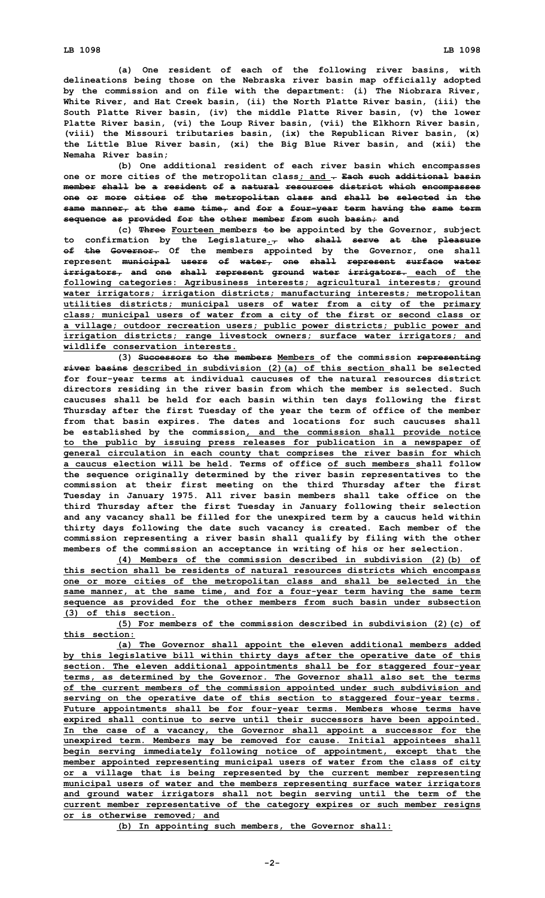**(a) One resident of each of the following river basins, with delineations being those on the Nebraska river basin map officially adopted by the commission and on file with the department: (i) The Niobrara River, White River, and Hat Creek basin, (ii) the North Platte River basin, (iii) the South Platte River basin, (iv) the middle Platte River basin, (v) the lower Platte River basin, (vi) the Loup River basin, (vii) the Elkhorn River basin, (viii) the Missouri tributaries basin, (ix) the Republican River basin, (x) the Little Blue River basin, (xi) the Big Blue River basin, and (xii) the Nemaha River basin;**

**(b) One additional resident of each river basin which encompasses one or more cities of the metropolitan class; and . Each such additional basin member shall be <sup>a</sup> resident of <sup>a</sup> natural resources district which encompasses one or more cities of the metropolitan class and shall be selected in the same manner, at the same time, and for <sup>a</sup> four-year term having the same term sequence as provided for the other member from such basin; and**

**(c) Three Fourteen members to be appointed by the Governor, subject to confirmation by the Legislature., who shall serve at the pleasure of the Governor. Of the members appointed by the Governor, one shall represent municipal users of water, one shall represent surface water irrigators, and one shall represent ground water irrigators. each of the following categories: Agribusiness interests; agricultural interests; ground water irrigators; irrigation districts; manufacturing interests; metropolitan utilities districts; municipal users of water from <sup>a</sup> city of the primary class; municipal users of water from <sup>a</sup> city of the first or second class or <sup>a</sup> village; outdoor recreation users; public power districts; public power and irrigation districts; range livestock owners; surface water irrigators; and wildlife conservation interests.**

**(3) Successors to the members Members of the commission representing river basins described in subdivision (2)(a) of this section shall be selected for four-year terms at individual caucuses of the natural resources district directors residing in the river basin from which the member is selected. Such caucuses shall be held for each basin within ten days following the first Thursday after the first Tuesday of the year the term of office of the member from that basin expires. The dates and locations for such caucuses shall be established by the commission, and the commission shall provide notice to the public by issuing press releases for publication in <sup>a</sup> newspaper of general circulation in each county that comprises the river basin for which a caucus election will be held. Terms of office of such members shall follow the sequence originally determined by the river basin representatives to the commission at their first meeting on the third Thursday after the first Tuesday in January 1975. All river basin members shall take office on the third Thursday after the first Tuesday in January following their selection and any vacancy shall be filled for the unexpired term by <sup>a</sup> caucus held within thirty days following the date such vacancy is created. Each member of the commission representing <sup>a</sup> river basin shall qualify by filing with the other members of the commission an acceptance in writing of his or her selection.**

**(4) Members of the commission described in subdivision (2)(b) of this section shall be residents of natural resources districts which encompass one or more cities of the metropolitan class and shall be selected in the same manner, at the same time, and for <sup>a</sup> four-year term having the same term sequence as provided for the other members from such basin under subsection (3) of this section.**

**(5) For members of the commission described in subdivision (2)(c) of this section:**

**(a) The Governor shall appoint the eleven additional members added by this legislative bill within thirty days after the operative date of this section. The eleven additional appointments shall be for staggered four-year terms, as determined by the Governor. The Governor shall also set the terms of the current members of the commission appointed under such subdivision and serving on the operative date of this section to staggered four-year terms. Future appointments shall be for four-year terms. Members whose terms have expired shall continue to serve until their successors have been appointed. In the case of <sup>a</sup> vacancy, the Governor shall appoint <sup>a</sup> successor for the unexpired term. Members may be removed for cause. Initial appointees shall begin serving immediately following notice of appointment, except that the member appointed representing municipal users of water from the class of city or <sup>a</sup> village that is being represented by the current member representing municipal users of water and the members representing surface water irrigators and ground water irrigators shall not begin serving until the term of the current member representative of the category expires or such member resigns or is otherwise removed; and**

**(b) In appointing such members, the Governor shall:**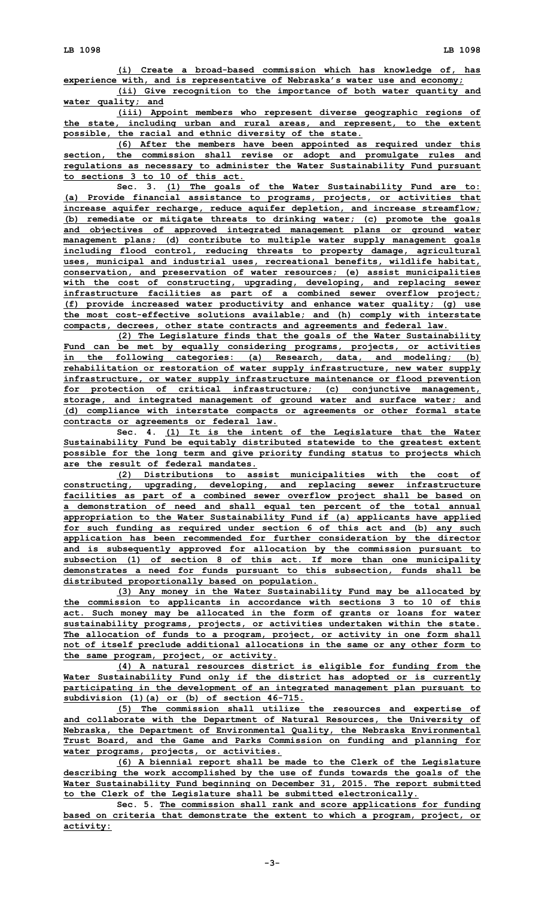**(i) Create <sup>a</sup> broad-based commission which has knowledge of, has experience with, and is representative of Nebraska's water use and economy;**

**(ii) Give recognition to the importance of both water quantity and water quality; and**

**(iii) Appoint members who represent diverse geographic regions of the state, including urban and rural areas, and represent, to the extent possible, the racial and ethnic diversity of the state.**

**(6) After the members have been appointed as required under this section, the commission shall revise or adopt and promulgate rules and regulations as necessary to administer the Water Sustainability Fund pursuant to sections 3 to 10 of this act.**

**Sec. 3. (1) The goals of the Water Sustainability Fund are to: (a) Provide financial assistance to programs, projects, or activities that increase aquifer recharge, reduce aquifer depletion, and increase streamflow; (b) remediate or mitigate threats to drinking water; (c) promote the goals and objectives of approved integrated management plans or ground water management plans; (d) contribute to multiple water supply management goals including flood control, reducing threats to property damage, agricultural uses, municipal and industrial uses, recreational benefits, wildlife habitat, conservation, and preservation of water resources; (e) assist municipalities with the cost of constructing, upgrading, developing, and replacing sewer infrastructure facilities as part of <sup>a</sup> combined sewer overflow project; (f) provide increased water productivity and enhance water quality; (g) use the most cost-effective solutions available; and (h) comply with interstate compacts, decrees, other state contracts and agreements and federal law.**

**(2) The Legislature finds that the goals of the Water Sustainability Fund can be met by equally considering programs, projects, or activities in the following categories: (a) Research, data, and modeling; (b) rehabilitation or restoration of water supply infrastructure, new water supply infrastructure, or water supply infrastructure maintenance or flood prevention for protection of critical infrastructure; (c) conjunctive management, storage, and integrated management of ground water and surface water; and (d) compliance with interstate compacts or agreements or other formal state contracts or agreements or federal law.**

**Sec. 4. (1) It is the intent of the Legislature that the Water Sustainability Fund be equitably distributed statewide to the greatest extent possible for the long term and give priority funding status to projects which are the result of federal mandates.**

**(2) Distributions to assist municipalities with the cost of constructing, upgrading, developing, and replacing sewer infrastructure facilities as part of <sup>a</sup> combined sewer overflow project shall be based on <sup>a</sup> demonstration of need and shall equal ten percent of the total annual appropriation to the Water Sustainability Fund if (a) applicants have applied for such funding as required under section 6 of this act and (b) any such application has been recommended for further consideration by the director and is subsequently approved for allocation by the commission pursuant to subsection (1) of section 8 of this act. If more than one municipality demonstrates <sup>a</sup> need for funds pursuant to this subsection, funds shall be distributed proportionally based on population.**

**(3) Any money in the Water Sustainability Fund may be allocated by the commission to applicants in accordance with sections 3 to 10 of this act. Such money may be allocated in the form of grants or loans for water sustainability programs, projects, or activities undertaken within the state. The allocation of funds to <sup>a</sup> program, project, or activity in one form shall not of itself preclude additional allocations in the same or any other form to the same program, project, or activity.**

**(4) <sup>A</sup> natural resources district is eligible for funding from the Water Sustainability Fund only if the district has adopted or is currently participating in the development of an integrated management plan pursuant to subdivision (1)(a) or (b) of section 46-715.**

**(5) The commission shall utilize the resources and expertise of and collaborate with the Department of Natural Resources, the University of Nebraska, the Department of Environmental Quality, the Nebraska Environmental Trust Board, and the Game and Parks Commission on funding and planning for water programs, projects, or activities.**

**(6) <sup>A</sup> biennial report shall be made to the Clerk of the Legislature describing the work accomplished by the use of funds towards the goals of the Water Sustainability Fund beginning on December 31, 2015. The report submitted to the Clerk of the Legislature shall be submitted electronically.**

**Sec. 5. The commission shall rank and score applications for funding based on criteria that demonstrate the extent to which <sup>a</sup> program, project, or activity:**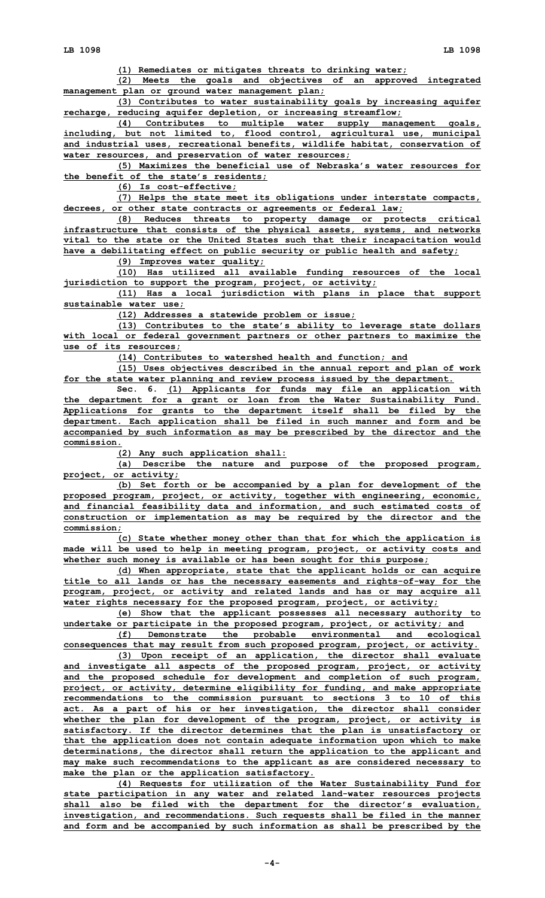**(1) Remediates or mitigates threats to drinking water;**

**(2) Meets the goals and objectives of an approved integrated management plan or ground water management plan;**

**(3) Contributes to water sustainability goals by increasing aquifer recharge, reducing aquifer depletion, or increasing streamflow;**

**(4) Contributes to multiple water supply management goals, including, but not limited to, flood control, agricultural use, municipal and industrial uses, recreational benefits, wildlife habitat, conservation of water resources, and preservation of water resources;**

**(5) Maximizes the beneficial use of Nebraska's water resources for the benefit of the state's residents;**

**(6) Is cost-effective;**

**(7) Helps the state meet its obligations under interstate compacts, decrees, or other state contracts or agreements or federal law;**

**(8) Reduces threats to property damage or protects critical infrastructure that consists of the physical assets, systems, and networks vital to the state or the United States such that their incapacitation would have <sup>a</sup> debilitating effect on public security or public health and safety;**

**(9) Improves water quality;**

**(10) Has utilized all available funding resources of the local jurisdiction to support the program, project, or activity;**

**(11) Has <sup>a</sup> local jurisdiction with plans in place that support sustainable water use;**

**(12) Addresses <sup>a</sup> statewide problem or issue;**

**(13) Contributes to the state's ability to leverage state dollars with local or federal government partners or other partners to maximize the use of its resources;**

**(14) Contributes to watershed health and function; and**

**(15) Uses objectives described in the annual report and plan of work for the state water planning and review process issued by the department.**

**Sec. 6. (1) Applicants for funds may file an application with the department for <sup>a</sup> grant or loan from the Water Sustainability Fund. Applications for grants to the department itself shall be filed by the department. Each application shall be filed in such manner and form and be accompanied by such information as may be prescribed by the director and the commission.**

**(2) Any such application shall:**

**(a) Describe the nature and purpose of the proposed program, project, or activity;**

**(b) Set forth or be accompanied by <sup>a</sup> plan for development of the proposed program, project, or activity, together with engineering, economic, and financial feasibility data and information, and such estimated costs of construction or implementation as may be required by the director and the commission;**

**(c) State whether money other than that for which the application is made will be used to help in meeting program, project, or activity costs and whether such money is available or has been sought for this purpose;**

**(d) When appropriate, state that the applicant holds or can acquire title to all lands or has the necessary easements and rights-of-way for the program, project, or activity and related lands and has or may acquire all water rights necessary for the proposed program, project, or activity;**

**(e) Show that the applicant possesses all necessary authority to undertake or participate in the proposed program, project, or activity; and**

**(f) Demonstrate the probable environmental and ecological consequences that may result from such proposed program, project, or activity.**

**(3) Upon receipt of an application, the director shall evaluate and investigate all aspects of the proposed program, project, or activity and the proposed schedule for development and completion of such program, project, or activity, determine eligibility for funding, and make appropriate recommendations to the commission pursuant to sections 3 to 10 of this act. As <sup>a</sup> part of his or her investigation, the director shall consider whether the plan for development of the program, project, or activity is satisfactory. If the director determines that the plan is unsatisfactory or that the application does not contain adequate information upon which to make determinations, the director shall return the application to the applicant and may make such recommendations to the applicant as are considered necessary to make the plan or the application satisfactory.**

**(4) Requests for utilization of the Water Sustainability Fund for state participation in any water and related land-water resources projects shall also be filed with the department for the director's evaluation, investigation, and recommendations. Such requests shall be filed in the manner and form and be accompanied by such information as shall be prescribed by the**

**-4-**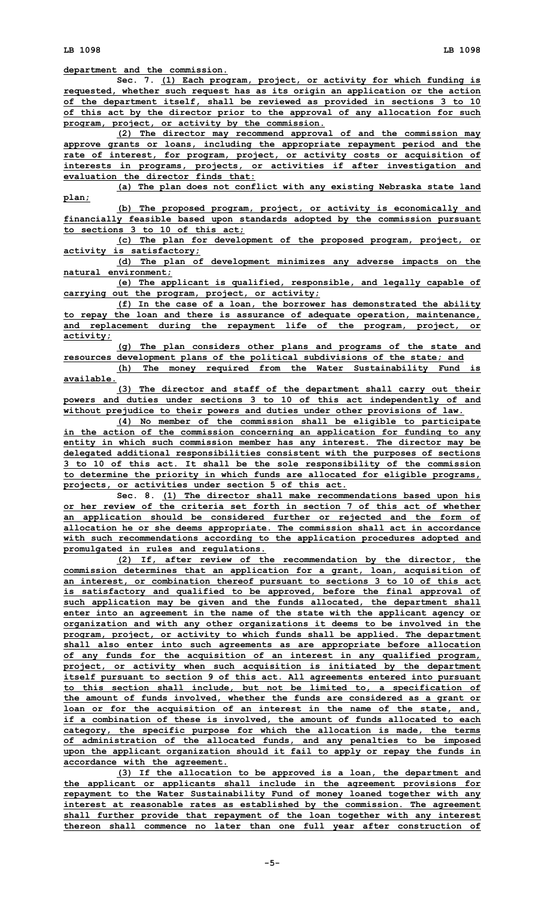**LB 1098 LB 1098**

**department and the commission.**

**Sec. 7. (1) Each program, project, or activity for which funding is requested, whether such request has as its origin an application or the action of the department itself, shall be reviewed as provided in sections 3 to 10 of this act by the director prior to the approval of any allocation for such program, project, or activity by the commission.**

**(2) The director may recommend approval of and the commission may approve grants or loans, including the appropriate repayment period and the rate of interest, for program, project, or activity costs or acquisition of interests in programs, projects, or activities if after investigation and evaluation the director finds that:**

**(a) The plan does not conflict with any existing Nebraska state land plan;**

**(b) The proposed program, project, or activity is economically and financially feasible based upon standards adopted by the commission pursuant to sections 3 to 10 of this act;**

**(c) The plan for development of the proposed program, project, or activity is satisfactory;**

**(d) The plan of development minimizes any adverse impacts on the natural environment;**

**(e) The applicant is qualified, responsible, and legally capable of carrying out the program, project, or activity;**

**(f) In the case of <sup>a</sup> loan, the borrower has demonstrated the ability to repay the loan and there is assurance of adequate operation, maintenance, and replacement during the repayment life of the program, project, or activity;**

**(g) The plan considers other plans and programs of the state and resources development plans of the political subdivisions of the state; and (h) The money required from the Water Sustainability Fund is**

**available. (3) The director and staff of the department shall carry out their powers and duties under sections 3 to 10 of this act independently of and without prejudice to their powers and duties under other provisions of law.**

**(4) No member of the commission shall be eligible to participate in the action of the commission concerning an application for funding to any entity in which such commission member has any interest. The director may be delegated additional responsibilities consistent with the purposes of sections 3 to 10 of this act. It shall be the sole responsibility of the commission to determine the priority in which funds are allocated for eligible programs, projects, or activities under section 5 of this act.**

**Sec. 8. (1) The director shall make recommendations based upon his or her review of the criteria set forth in section 7 of this act of whether an application should be considered further or rejected and the form of allocation he or she deems appropriate. The commission shall act in accordance with such recommendations according to the application procedures adopted and promulgated in rules and regulations.**

**(2) If, after review of the recommendation by the director, the commission determines that an application for <sup>a</sup> grant, loan, acquisition of an interest, or combination thereof pursuant to sections 3 to 10 of this act is satisfactory and qualified to be approved, before the final approval of such application may be given and the funds allocated, the department shall enter into an agreement in the name of the state with the applicant agency or organization and with any other organizations it deems to be involved in the program, project, or activity to which funds shall be applied. The department shall also enter into such agreements as are appropriate before allocation of any funds for the acquisition of an interest in any qualified program, project, or activity when such acquisition is initiated by the department itself pursuant to section 9 of this act. All agreements entered into pursuant to this section shall include, but not be limited to, <sup>a</sup> specification of the amount of funds involved, whether the funds are considered as <sup>a</sup> grant or loan or for the acquisition of an interest in the name of the state, and, if <sup>a</sup> combination of these is involved, the amount of funds allocated to each category, the specific purpose for which the allocation is made, the terms of administration of the allocated funds, and any penalties to be imposed upon the applicant organization should it fail to apply or repay the funds in accordance with the agreement.**

**(3) If the allocation to be approved is <sup>a</sup> loan, the department and the applicant or applicants shall include in the agreement provisions for repayment to the Water Sustainability Fund of money loaned together with any interest at reasonable rates as established by the commission. The agreement shall further provide that repayment of the loan together with any interest thereon shall commence no later than one full year after construction of**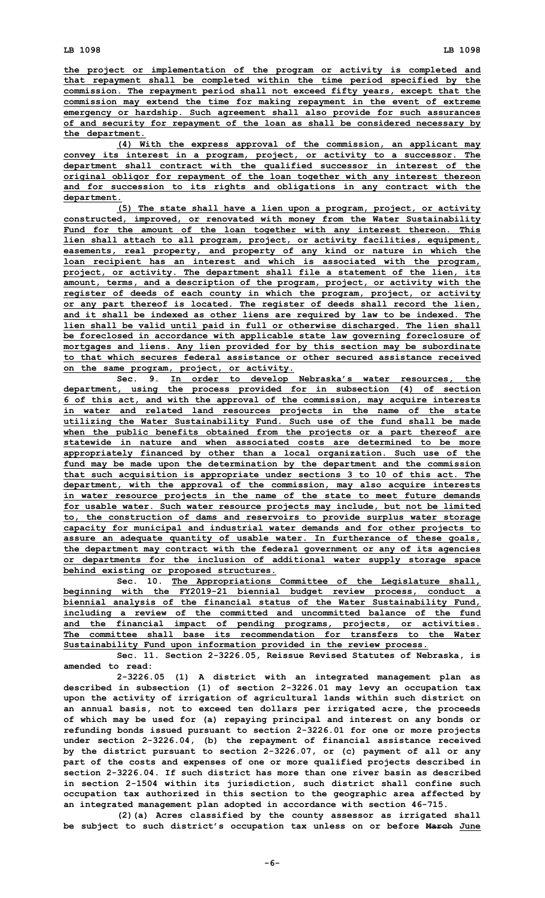**the project or implementation of the program or activity is completed and that repayment shall be completed within the time period specified by the commission. The repayment period shall not exceed fifty years, except that the commission may extend the time for making repayment in the event of extreme emergency or hardship. Such agreement shall also provide for such assurances of and security for repayment of the loan as shall be considered necessary by the department.**

**(4) With the express approval of the commission, an applicant may convey its interest in <sup>a</sup> program, project, or activity to <sup>a</sup> successor. The department shall contract with the qualified successor in interest of the original obligor for repayment of the loan together with any interest thereon and for succession to its rights and obligations in any contract with the department.**

**(5) The state shall have <sup>a</sup> lien upon <sup>a</sup> program, project, or activity constructed, improved, or renovated with money from the Water Sustainability Fund for the amount of the loan together with any interest thereon. This lien shall attach to all program, project, or activity facilities, equipment, easements, real property, and property of any kind or nature in which the loan recipient has an interest and which is associated with the program, project, or activity. The department shall file <sup>a</sup> statement of the lien, its amount, terms, and <sup>a</sup> description of the program, project, or activity with the register of deeds of each county in which the program, project, or activity or any part thereof is located. The register of deeds shall record the lien, and it shall be indexed as other liens are required by law to be indexed. The lien shall be valid until paid in full or otherwise discharged. The lien shall be foreclosed in accordance with applicable state law governing foreclosure of mortgages and liens. Any lien provided for by this section may be subordinate to that which secures federal assistance or other secured assistance received on the same program, project, or activity.**

**Sec. 9. In order to develop Nebraska's water resources, the department, using the process provided for in subsection (4) of section 6 of this act, and with the approval of the commission, may acquire interests in water and related land resources projects in the name of the state utilizing the Water Sustainability Fund. Such use of the fund shall be made when the public benefits obtained from the projects or <sup>a</sup> part thereof are statewide in nature and when associated costs are determined to be more appropriately financed by other than <sup>a</sup> local organization. Such use of the fund may be made upon the determination by the department and the commission that such acquisition is appropriate under sections 3 to 10 of this act. The department, with the approval of the commission, may also acquire interests in water resource projects in the name of the state to meet future demands for usable water. Such water resource projects may include, but not be limited to, the construction of dams and reservoirs to provide surplus water storage capacity for municipal and industrial water demands and for other projects to assure an adequate quantity of usable water. In furtherance of these goals, the department may contract with the federal government or any of its agencies or departments for the inclusion of additional water supply storage space behind existing or proposed structures.**

**Sec. 10. The Appropriations Committee of the Legislature shall, beginning with the FY2019-21 biennial budget review process, conduct <sup>a</sup> biennial analysis of the financial status of the Water Sustainability Fund, including <sup>a</sup> review of the committed and uncommitted balance of the fund and the financial impact of pending programs, projects, or activities. The committee shall base its recommendation for transfers to the Water Sustainability Fund upon information provided in the review process.**

**Sec. 11. Section 2-3226.05, Reissue Revised Statutes of Nebraska, is amended to read:**

**2-3226.05 (1) <sup>A</sup> district with an integrated management plan as described in subsection (1) of section 2-3226.01 may levy an occupation tax upon the activity of irrigation of agricultural lands within such district on an annual basis, not to exceed ten dollars per irrigated acre, the proceeds of which may be used for (a) repaying principal and interest on any bonds or refunding bonds issued pursuant to section 2-3226.01 for one or more projects under section 2-3226.04, (b) the repayment of financial assistance received by the district pursuant to section 2-3226.07, or (c) payment of all or any part of the costs and expenses of one or more qualified projects described in section 2-3226.04. If such district has more than one river basin as described in section 2-1504 within its jurisdiction, such district shall confine such occupation tax authorized in this section to the geographic area affected by an integrated management plan adopted in accordance with section 46-715.**

**(2)(a) Acres classified by the county assessor as irrigated shall be subject to such district's occupation tax unless on or before March June**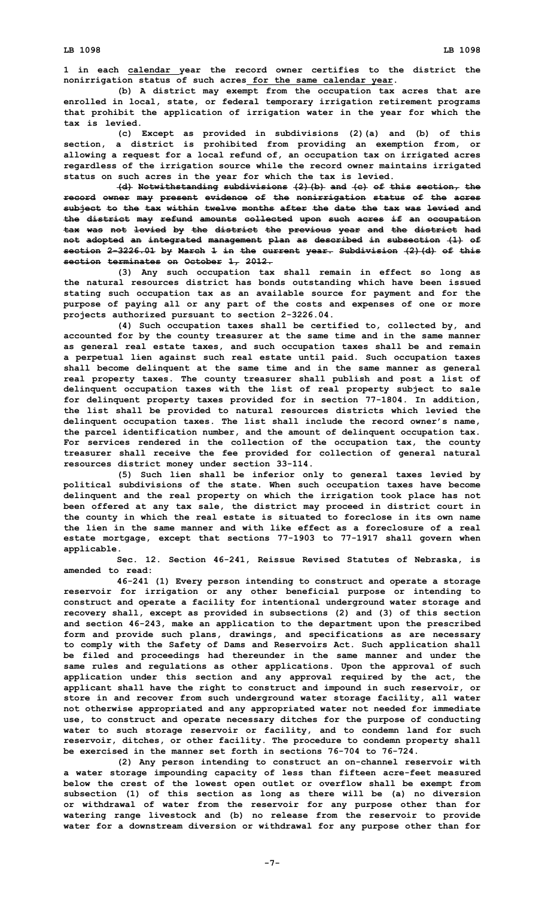**1 in each calendar year the record owner certifies to the district the nonirrigation status of such acres for the same calendar year.**

**(b) <sup>A</sup> district may exempt from the occupation tax acres that are enrolled in local, state, or federal temporary irrigation retirement programs that prohibit the application of irrigation water in the year for which the tax is levied.**

**(c) Except as provided in subdivisions (2)(a) and (b) of this section, <sup>a</sup> district is prohibited from providing an exemption from, or allowing <sup>a</sup> request for <sup>a</sup> local refund of, an occupation tax on irrigated acres regardless of the irrigation source while the record owner maintains irrigated status on such acres in the year for which the tax is levied.**

**(d) Notwithstanding subdivisions (2)(b) and (c) of this section, the record owner may present evidence of the nonirrigation status of the acres subject to the tax within twelve months after the date the tax was levied and the district may refund amounts collected upon such acres if an occupation tax was not levied by the district the previous year and the district had not adopted an integrated management plan as described in subsection (1) of section 2-3226.01 by March 1 in the current year. Subdivision (2)(d) of this section terminates on October 1, 2012.**

**(3) Any such occupation tax shall remain in effect so long as the natural resources district has bonds outstanding which have been issued stating such occupation tax as an available source for payment and for the purpose of paying all or any part of the costs and expenses of one or more projects authorized pursuant to section 2-3226.04.**

**(4) Such occupation taxes shall be certified to, collected by, and accounted for by the county treasurer at the same time and in the same manner as general real estate taxes, and such occupation taxes shall be and remain <sup>a</sup> perpetual lien against such real estate until paid. Such occupation taxes shall become delinquent at the same time and in the same manner as general real property taxes. The county treasurer shall publish and post <sup>a</sup> list of delinquent occupation taxes with the list of real property subject to sale for delinquent property taxes provided for in section 77-1804. In addition, the list shall be provided to natural resources districts which levied the delinquent occupation taxes. The list shall include the record owner's name, the parcel identification number, and the amount of delinquent occupation tax. For services rendered in the collection of the occupation tax, the county treasurer shall receive the fee provided for collection of general natural resources district money under section 33-114.**

**(5) Such lien shall be inferior only to general taxes levied by political subdivisions of the state. When such occupation taxes have become delinquent and the real property on which the irrigation took place has not been offered at any tax sale, the district may proceed in district court in the county in which the real estate is situated to foreclose in its own name the lien in the same manner and with like effect as a foreclosure of a real estate mortgage, except that sections 77-1903 to 77-1917 shall govern when applicable.**

**Sec. 12. Section 46-241, Reissue Revised Statutes of Nebraska, is amended to read:**

**46-241 (1) Every person intending to construct and operate <sup>a</sup> storage reservoir for irrigation or any other beneficial purpose or intending to construct and operate <sup>a</sup> facility for intentional underground water storage and recovery shall, except as provided in subsections (2) and (3) of this section and section 46-243, make an application to the department upon the prescribed form and provide such plans, drawings, and specifications as are necessary to comply with the Safety of Dams and Reservoirs Act. Such application shall be filed and proceedings had thereunder in the same manner and under the same rules and regulations as other applications. Upon the approval of such application under this section and any approval required by the act, the applicant shall have the right to construct and impound in such reservoir, or store in and recover from such underground water storage facility, all water not otherwise appropriated and any appropriated water not needed for immediate use, to construct and operate necessary ditches for the purpose of conducting water to such storage reservoir or facility, and to condemn land for such reservoir, ditches, or other facility. The procedure to condemn property shall be exercised in the manner set forth in sections 76-704 to 76-724.**

**(2) Any person intending to construct an on-channel reservoir with <sup>a</sup> water storage impounding capacity of less than fifteen acre-feet measured below the crest of the lowest open outlet or overflow shall be exempt from subsection (1) of this section as long as there will be (a) no diversion or withdrawal of water from the reservoir for any purpose other than for watering range livestock and (b) no release from the reservoir to provide water for <sup>a</sup> downstream diversion or withdrawal for any purpose other than for**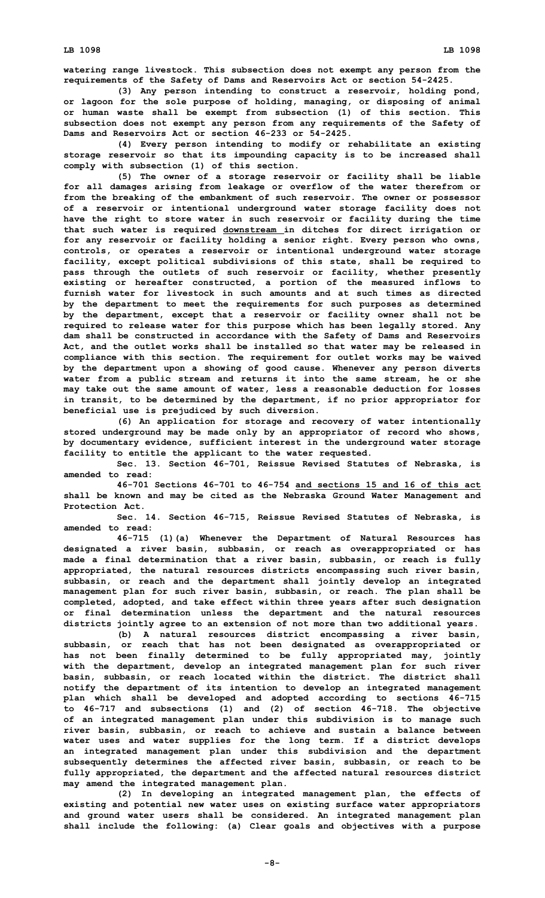**watering range livestock. This subsection does not exempt any person from the requirements of the Safety of Dams and Reservoirs Act or section 54-2425.**

**(3) Any person intending to construct <sup>a</sup> reservoir, holding pond, or lagoon for the sole purpose of holding, managing, or disposing of animal or human waste shall be exempt from subsection (1) of this section. This subsection does not exempt any person from any requirements of the Safety of Dams and Reservoirs Act or section 46-233 or 54-2425.**

**(4) Every person intending to modify or rehabilitate an existing storage reservoir so that its impounding capacity is to be increased shall comply with subsection (1) of this section.**

**(5) The owner of <sup>a</sup> storage reservoir or facility shall be liable for all damages arising from leakage or overflow of the water therefrom or from the breaking of the embankment of such reservoir. The owner or possessor of <sup>a</sup> reservoir or intentional underground water storage facility does not have the right to store water in such reservoir or facility during the time that such water is required downstream in ditches for direct irrigation or for any reservoir or facility holding <sup>a</sup> senior right. Every person who owns, controls, or operates <sup>a</sup> reservoir or intentional underground water storage facility, except political subdivisions of this state, shall be required to pass through the outlets of such reservoir or facility, whether presently existing or hereafter constructed, <sup>a</sup> portion of the measured inflows to furnish water for livestock in such amounts and at such times as directed by the department to meet the requirements for such purposes as determined by the department, except that <sup>a</sup> reservoir or facility owner shall not be required to release water for this purpose which has been legally stored. Any dam shall be constructed in accordance with the Safety of Dams and Reservoirs Act, and the outlet works shall be installed so that water may be released in compliance with this section. The requirement for outlet works may be waived by the department upon <sup>a</sup> showing of good cause. Whenever any person diverts water from <sup>a</sup> public stream and returns it into the same stream, he or she may take out the same amount of water, less <sup>a</sup> reasonable deduction for losses in transit, to be determined by the department, if no prior appropriator for beneficial use is prejudiced by such diversion.**

**(6) An application for storage and recovery of water intentionally stored underground may be made only by an appropriator of record who shows, by documentary evidence, sufficient interest in the underground water storage facility to entitle the applicant to the water requested.**

**Sec. 13. Section 46-701, Reissue Revised Statutes of Nebraska, is amended to read:**

**46-701 Sections 46-701 to 46-754 and sections 15 and 16 of this act shall be known and may be cited as the Nebraska Ground Water Management and Protection Act.**

**Sec. 14. Section 46-715, Reissue Revised Statutes of Nebraska, is amended to read:**

**46-715 (1)(a) Whenever the Department of Natural Resources has designated <sup>a</sup> river basin, subbasin, or reach as overappropriated or has made <sup>a</sup> final determination that <sup>a</sup> river basin, subbasin, or reach is fully appropriated, the natural resources districts encompassing such river basin, subbasin, or reach and the department shall jointly develop an integrated management plan for such river basin, subbasin, or reach. The plan shall be completed, adopted, and take effect within three years after such designation or final determination unless the department and the natural resources districts jointly agree to an extension of not more than two additional years.**

**(b) <sup>A</sup> natural resources district encompassing <sup>a</sup> river basin, subbasin, or reach that has not been designated as overappropriated or has not been finally determined to be fully appropriated may, jointly with the department, develop an integrated management plan for such river basin, subbasin, or reach located within the district. The district shall notify the department of its intention to develop an integrated management plan which shall be developed and adopted according to sections 46-715 to 46-717 and subsections (1) and (2) of section 46-718. The objective of an integrated management plan under this subdivision is to manage such river basin, subbasin, or reach to achieve and sustain <sup>a</sup> balance between water uses and water supplies for the long term. If <sup>a</sup> district develops an integrated management plan under this subdivision and the department subsequently determines the affected river basin, subbasin, or reach to be fully appropriated, the department and the affected natural resources district may amend the integrated management plan.**

**(2) In developing an integrated management plan, the effects of existing and potential new water uses on existing surface water appropriators and ground water users shall be considered. An integrated management plan shall include the following: (a) Clear goals and objectives with <sup>a</sup> purpose**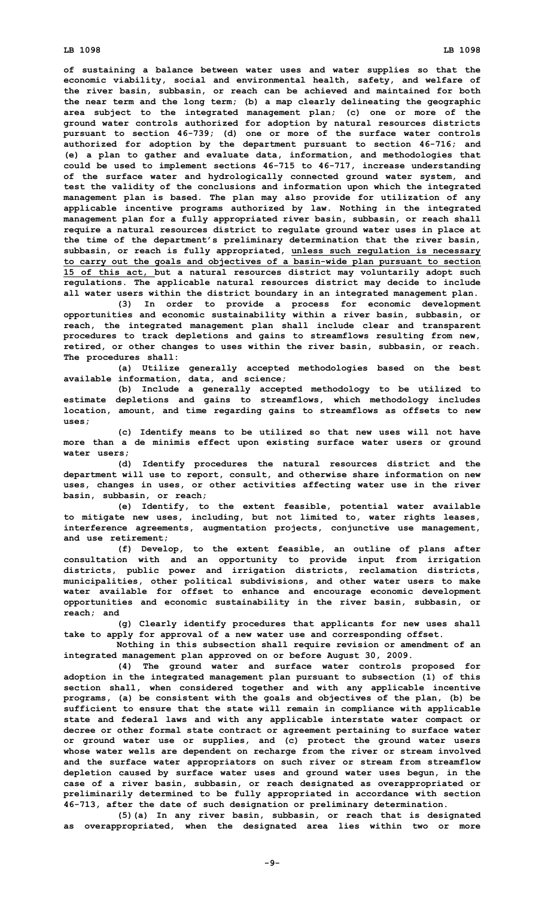**of sustaining <sup>a</sup> balance between water uses and water supplies so that the economic viability, social and environmental health, safety, and welfare of the river basin, subbasin, or reach can be achieved and maintained for both the near term and the long term; (b) <sup>a</sup> map clearly delineating the geographic area subject to the integrated management plan; (c) one or more of the ground water controls authorized for adoption by natural resources districts pursuant to section 46-739; (d) one or more of the surface water controls authorized for adoption by the department pursuant to section 46-716; and (e) <sup>a</sup> plan to gather and evaluate data, information, and methodologies that could be used to implement sections 46-715 to 46-717, increase understanding of the surface water and hydrologically connected ground water system, and test the validity of the conclusions and information upon which the integrated management plan is based. The plan may also provide for utilization of any applicable incentive programs authorized by law. Nothing in the integrated management plan for <sup>a</sup> fully appropriated river basin, subbasin, or reach shall require <sup>a</sup> natural resources district to regulate ground water uses in place at the time of the department's preliminary determination that the river basin, subbasin, or reach is fully appropriated, unless such regulation is necessary to carry out the goals and objectives of <sup>a</sup> basin-wide plan pursuant to section 15 of this act, but <sup>a</sup> natural resources district may voluntarily adopt such regulations. The applicable natural resources district may decide to include all water users within the district boundary in an integrated management plan.**

**(3) In order to provide <sup>a</sup> process for economic development opportunities and economic sustainability within <sup>a</sup> river basin, subbasin, or reach, the integrated management plan shall include clear and transparent procedures to track depletions and gains to streamflows resulting from new, retired, or other changes to uses within the river basin, subbasin, or reach. The procedures shall:**

**(a) Utilize generally accepted methodologies based on the best available information, data, and science;**

**(b) Include <sup>a</sup> generally accepted methodology to be utilized to estimate depletions and gains to streamflows, which methodology includes location, amount, and time regarding gains to streamflows as offsets to new uses;**

**(c) Identify means to be utilized so that new uses will not have more than <sup>a</sup> de minimis effect upon existing surface water users or ground water users;**

**(d) Identify procedures the natural resources district and the department will use to report, consult, and otherwise share information on new uses, changes in uses, or other activities affecting water use in the river basin, subbasin, or reach;**

**(e) Identify, to the extent feasible, potential water available to mitigate new uses, including, but not limited to, water rights leases, interference agreements, augmentation projects, conjunctive use management, and use retirement;**

**(f) Develop, to the extent feasible, an outline of plans after consultation with and an opportunity to provide input from irrigation districts, public power and irrigation districts, reclamation districts, municipalities, other political subdivisions, and other water users to make water available for offset to enhance and encourage economic development opportunities and economic sustainability in the river basin, subbasin, or reach; and**

**(g) Clearly identify procedures that applicants for new uses shall take to apply for approval of <sup>a</sup> new water use and corresponding offset.**

**Nothing in this subsection shall require revision or amendment of an integrated management plan approved on or before August 30, 2009.**

**(4) The ground water and surface water controls proposed for adoption in the integrated management plan pursuant to subsection (1) of this section shall, when considered together and with any applicable incentive programs, (a) be consistent with the goals and objectives of the plan, (b) be sufficient to ensure that the state will remain in compliance with applicable state and federal laws and with any applicable interstate water compact or decree or other formal state contract or agreement pertaining to surface water or ground water use or supplies, and (c) protect the ground water users whose water wells are dependent on recharge from the river or stream involved and the surface water appropriators on such river or stream from streamflow depletion caused by surface water uses and ground water uses begun, in the case of <sup>a</sup> river basin, subbasin, or reach designated as overappropriated or preliminarily determined to be fully appropriated in accordance with section 46-713, after the date of such designation or preliminary determination.**

**(5)(a) In any river basin, subbasin, or reach that is designated as overappropriated, when the designated area lies within two or more**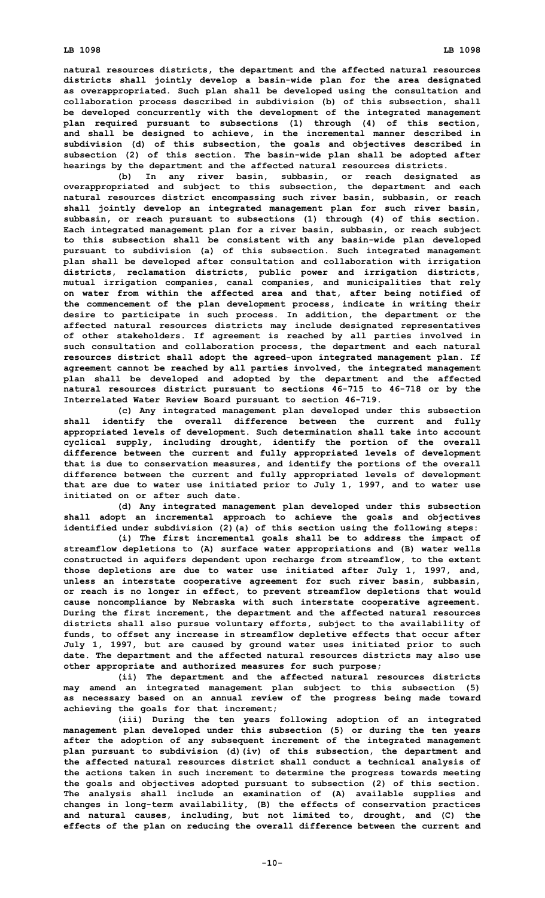**natural resources districts, the department and the affected natural resources districts shall jointly develop <sup>a</sup> basin-wide plan for the area designated as overappropriated. Such plan shall be developed using the consultation and collaboration process described in subdivision (b) of this subsection, shall be developed concurrently with the development of the integrated management plan required pursuant to subsections (1) through (4) of this section, and shall be designed to achieve, in the incremental manner described in subdivision (d) of this subsection, the goals and objectives described in subsection (2) of this section. The basin-wide plan shall be adopted after hearings by the department and the affected natural resources districts.**

**(b) In any river basin, subbasin, or reach designated as overappropriated and subject to this subsection, the department and each natural resources district encompassing such river basin, subbasin, or reach shall jointly develop an integrated management plan for such river basin, subbasin, or reach pursuant to subsections (1) through (4) of this section. Each integrated management plan for <sup>a</sup> river basin, subbasin, or reach subject to this subsection shall be consistent with any basin-wide plan developed pursuant to subdivision (a) of this subsection. Such integrated management plan shall be developed after consultation and collaboration with irrigation districts, reclamation districts, public power and irrigation districts, mutual irrigation companies, canal companies, and municipalities that rely on water from within the affected area and that, after being notified of the commencement of the plan development process, indicate in writing their desire to participate in such process. In addition, the department or the affected natural resources districts may include designated representatives of other stakeholders. If agreement is reached by all parties involved in such consultation and collaboration process, the department and each natural resources district shall adopt the agreed-upon integrated management plan. If agreement cannot be reached by all parties involved, the integrated management plan shall be developed and adopted by the department and the affected natural resources district pursuant to sections 46-715 to 46-718 or by the Interrelated Water Review Board pursuant to section 46-719.**

**(c) Any integrated management plan developed under this subsection shall identify the overall difference between the current and fully appropriated levels of development. Such determination shall take into account cyclical supply, including drought, identify the portion of the overall difference between the current and fully appropriated levels of development that is due to conservation measures, and identify the portions of the overall difference between the current and fully appropriated levels of development that are due to water use initiated prior to July 1, 1997, and to water use initiated on or after such date.**

**(d) Any integrated management plan developed under this subsection shall adopt an incremental approach to achieve the goals and objectives identified under subdivision (2)(a) of this section using the following steps:**

**(i) The first incremental goals shall be to address the impact of streamflow depletions to (A) surface water appropriations and (B) water wells constructed in aquifers dependent upon recharge from streamflow, to the extent those depletions are due to water use initiated after July 1, 1997, and, unless an interstate cooperative agreement for such river basin, subbasin, or reach is no longer in effect, to prevent streamflow depletions that would cause noncompliance by Nebraska with such interstate cooperative agreement. During the first increment, the department and the affected natural resources districts shall also pursue voluntary efforts, subject to the availability of funds, to offset any increase in streamflow depletive effects that occur after July 1, 1997, but are caused by ground water uses initiated prior to such date. The department and the affected natural resources districts may also use other appropriate and authorized measures for such purpose;**

**(ii) The department and the affected natural resources districts may amend an integrated management plan subject to this subsection (5) as necessary based on an annual review of the progress being made toward achieving the goals for that increment;**

**(iii) During the ten years following adoption of an integrated management plan developed under this subsection (5) or during the ten years after the adoption of any subsequent increment of the integrated management plan pursuant to subdivision (d)(iv) of this subsection, the department and the affected natural resources district shall conduct <sup>a</sup> technical analysis of the actions taken in such increment to determine the progress towards meeting the goals and objectives adopted pursuant to subsection (2) of this section. The analysis shall include an examination of (A) available supplies and changes in long-term availability, (B) the effects of conservation practices and natural causes, including, but not limited to, drought, and (C) the effects of the plan on reducing the overall difference between the current and**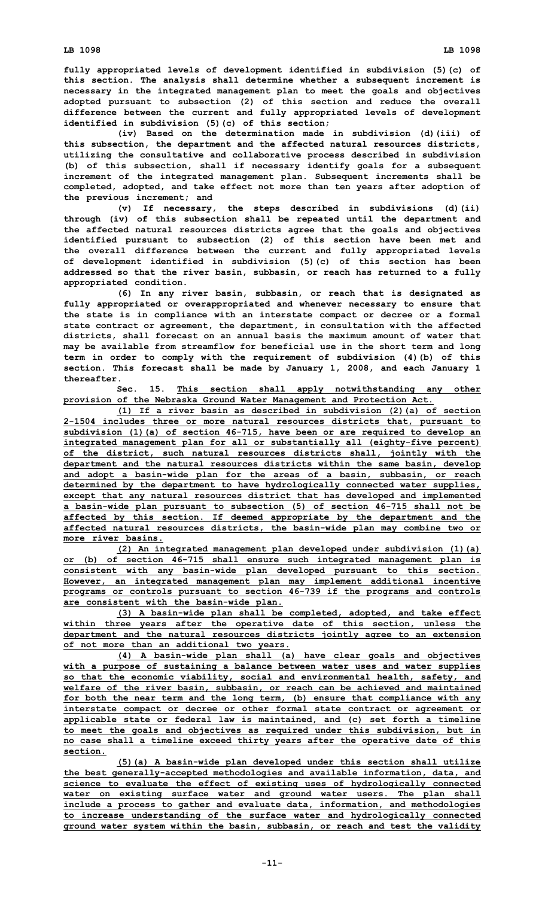**fully appropriated levels of development identified in subdivision (5)(c) of this section. The analysis shall determine whether <sup>a</sup> subsequent increment is necessary in the integrated management plan to meet the goals and objectives adopted pursuant to subsection (2) of this section and reduce the overall difference between the current and fully appropriated levels of development identified in subdivision (5)(c) of this section;**

**(iv) Based on the determination made in subdivision (d)(iii) of this subsection, the department and the affected natural resources districts, utilizing the consultative and collaborative process described in subdivision (b) of this subsection, shall if necessary identify goals for <sup>a</sup> subsequent increment of the integrated management plan. Subsequent increments shall be completed, adopted, and take effect not more than ten years after adoption of the previous increment; and**

**(v) If necessary, the steps described in subdivisions (d)(ii) through (iv) of this subsection shall be repeated until the department and the affected natural resources districts agree that the goals and objectives identified pursuant to subsection (2) of this section have been met and the overall difference between the current and fully appropriated levels of development identified in subdivision (5)(c) of this section has been addressed so that the river basin, subbasin, or reach has returned to <sup>a</sup> fully appropriated condition.**

**(6) In any river basin, subbasin, or reach that is designated as fully appropriated or overappropriated and whenever necessary to ensure that the state is in compliance with an interstate compact or decree or <sup>a</sup> formal state contract or agreement, the department, in consultation with the affected districts, shall forecast on an annual basis the maximum amount of water that may be available from streamflow for beneficial use in the short term and long term in order to comply with the requirement of subdivision (4)(b) of this section. This forecast shall be made by January 1, 2008, and each January 1 thereafter.**

**Sec. 15. This section shall apply notwithstanding any other provision of the Nebraska Ground Water Management and Protection Act.**

**(1) If <sup>a</sup> river basin as described in subdivision (2)(a) of section 2-1504 includes three or more natural resources districts that, pursuant to subdivision (1)(a) of section 46-715, have been or are required to develop an integrated management plan for all or substantially all (eighty-five percent) of the district, such natural resources districts shall, jointly with the department and the natural resources districts within the same basin, develop and adopt <sup>a</sup> basin-wide plan for the areas of <sup>a</sup> basin, subbasin, or reach determined by the department to have hydrologically connected water supplies, except that any natural resources district that has developed and implemented <sup>a</sup> basin-wide plan pursuant to subsection (5) of section 46-715 shall not be affected by this section. If deemed appropriate by the department and the affected natural resources districts, the basin-wide plan may combine two or more river basins.**

**(2) An integrated management plan developed under subdivision (1)(a) or (b) of section 46-715 shall ensure such integrated management plan is consistent with any basin-wide plan developed pursuant to this section. However, an integrated management plan may implement additional incentive programs or controls pursuant to section 46-739 if the programs and controls are consistent with the basin-wide plan.**

**(3) <sup>A</sup> basin-wide plan shall be completed, adopted, and take effect within three years after the operative date of this section, unless the department and the natural resources districts jointly agree to an extension of not more than an additional two years.**

**(4) <sup>A</sup> basin-wide plan shall (a) have clear goals and objectives with <sup>a</sup> purpose of sustaining <sup>a</sup> balance between water uses and water supplies so that the economic viability, social and environmental health, safety, and welfare of the river basin, subbasin, or reach can be achieved and maintained for both the near term and the long term, (b) ensure that compliance with any interstate compact or decree or other formal state contract or agreement or applicable state or federal law is maintained, and (c) set forth <sup>a</sup> timeline to meet the goals and objectives as required under this subdivision, but in no case shall <sup>a</sup> timeline exceed thirty years after the operative date of this section.**

**(5)(a) <sup>A</sup> basin-wide plan developed under this section shall utilize the best generally-accepted methodologies and available information, data, and science to evaluate the effect of existing uses of hydrologically connected water on existing surface water and ground water users. The plan shall include <sup>a</sup> process to gather and evaluate data, information, and methodologies to increase understanding of the surface water and hydrologically connected ground water system within the basin, subbasin, or reach and test the validity**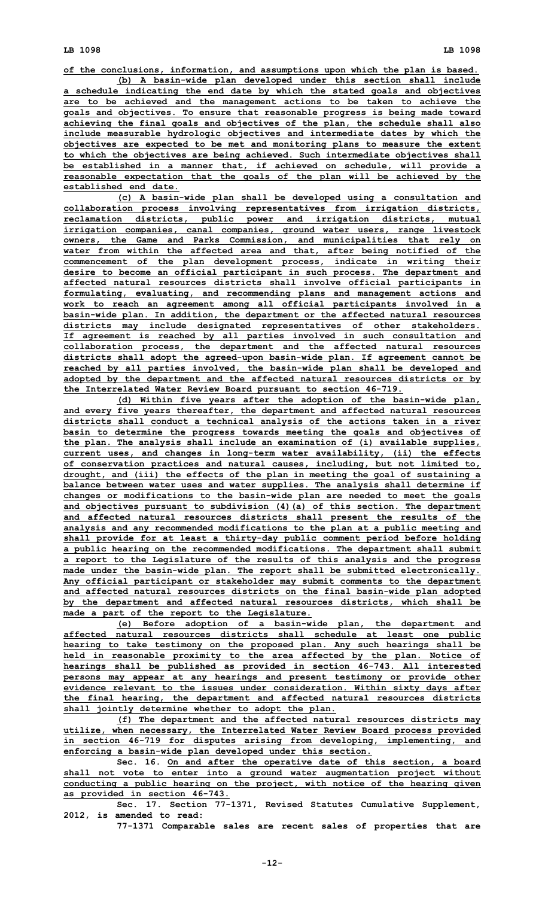**of the conclusions, information, and assumptions upon which the plan is based. (b) <sup>A</sup> basin-wide plan developed under this section shall include <sup>a</sup> schedule indicating the end date by which the stated goals and objectives are to be achieved and the management actions to be taken to achieve the goals and objectives. To ensure that reasonable progress is being made toward**

**achieving the final goals and objectives of the plan, the schedule shall also include measurable hydrologic objectives and intermediate dates by which the objectives are expected to be met and monitoring plans to measure the extent to which the objectives are being achieved. Such intermediate objectives shall be established in <sup>a</sup> manner that, if achieved on schedule, will provide <sup>a</sup> reasonable expectation that the goals of the plan will be achieved by the established end date.**

**(c) <sup>A</sup> basin-wide plan shall be developed using <sup>a</sup> consultation and collaboration process involving representatives from irrigation districts, reclamation districts, public power and irrigation districts, mutual irrigation companies, canal companies, ground water users, range livestock owners, the Game and Parks Commission, and municipalities that rely on water from within the affected area and that, after being notified of the commencement of the plan development process, indicate in writing their desire to become an official participant in such process. The department and affected natural resources districts shall involve official participants in formulating, evaluating, and recommending plans and management actions and work to reach an agreement among all official participants involved in <sup>a</sup> basin-wide plan. In addition, the department or the affected natural resources districts may include designated representatives of other stakeholders. If agreement is reached by all parties involved in such consultation and collaboration process, the department and the affected natural resources districts shall adopt the agreed-upon basin-wide plan. If agreement cannot be reached by all parties involved, the basin-wide plan shall be developed and adopted by the department and the affected natural resources districts or by the Interrelated Water Review Board pursuant to section 46-719.**

**(d) Within five years after the adoption of the basin-wide plan, and every five years thereafter, the department and affected natural resources districts shall conduct <sup>a</sup> technical analysis of the actions taken in <sup>a</sup> river basin to determine the progress towards meeting the goals and objectives of the plan. The analysis shall include an examination of (i) available supplies, current uses, and changes in long-term water availability, (ii) the effects of conservation practices and natural causes, including, but not limited to, drought, and (iii) the effects of the plan in meeting the goal of sustaining <sup>a</sup> balance between water uses and water supplies. The analysis shall determine if changes or modifications to the basin-wide plan are needed to meet the goals and objectives pursuant to subdivision (4)(a) of this section. The department and affected natural resources districts shall present the results of the analysis and any recommended modifications to the plan at <sup>a</sup> public meeting and shall provide for at least <sup>a</sup> thirty-day public comment period before holding <sup>a</sup> public hearing on the recommended modifications. The department shall submit <sup>a</sup> report to the Legislature of the results of this analysis and the progress made under the basin-wide plan. The report shall be submitted electronically. Any official participant or stakeholder may submit comments to the department and affected natural resources districts on the final basin-wide plan adopted by the department and affected natural resources districts, which shall be made <sup>a</sup> part of the report to the Legislature.**

**(e) Before adoption of <sup>a</sup> basin-wide plan, the department and affected natural resources districts shall schedule at least one public hearing to take testimony on the proposed plan. Any such hearings shall be held in reasonable proximity to the area affected by the plan. Notice of hearings shall be published as provided in section 46-743. All interested persons may appear at any hearings and present testimony or provide other evidence relevant to the issues under consideration. Within sixty days after the final hearing, the department and affected natural resources districts shall jointly determine whether to adopt the plan.**

**(f) The department and the affected natural resources districts may utilize, when necessary, the Interrelated Water Review Board process provided in section 46-719 for disputes arising from developing, implementing, and enforcing <sup>a</sup> basin-wide plan developed under this section.**

**Sec. 16. On and after the operative date of this section, <sup>a</sup> board shall not vote to enter into <sup>a</sup> ground water augmentation project without conducting <sup>a</sup> public hearing on the project, with notice of the hearing given as provided in section 46-743.**

**Sec. 17. Section 77-1371, Revised Statutes Cumulative Supplement, 2012, is amended to read:**

**77-1371 Comparable sales are recent sales of properties that are**